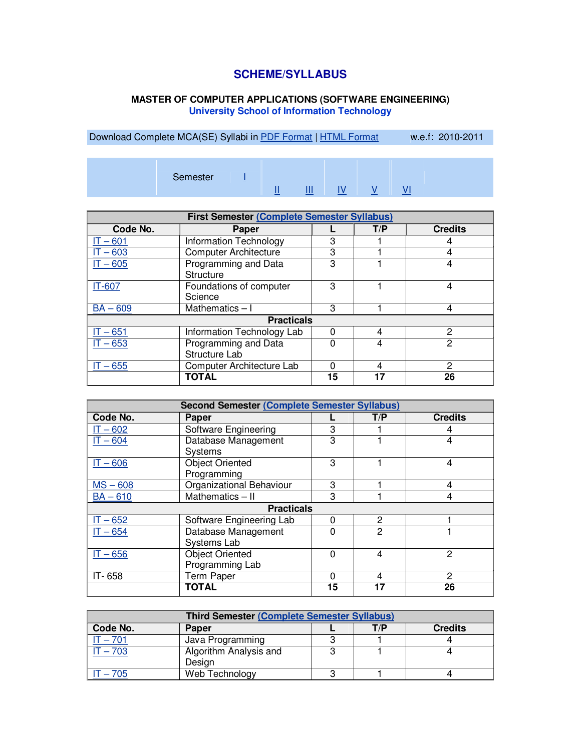## **SCHEME/SYLLABUS**

## **MASTER OF COMPUTER APPLICATIONS (SOFTWARE ENGINEERING) University School of Information Technology**

Download Complete MCA(SE) Syllabi in **PDF Format | HTML Format** w.e.f: 2010-2011

| Semester | $\sim$ | . .<br>_ | . |  |  |  |  |  |
|----------|--------|----------|---|--|--|--|--|--|
|----------|--------|----------|---|--|--|--|--|--|

| First Semester (Complete Semester Syllabus) |                               |    |     |                |  |  |
|---------------------------------------------|-------------------------------|----|-----|----------------|--|--|
| Code No.                                    | Paper                         |    | T/P | <b>Credits</b> |  |  |
| IT – 601                                    | <b>Information Technology</b> | 3  |     | 4              |  |  |
| $T - 603$                                   | <b>Computer Architecture</b>  | 3  |     | 4              |  |  |
| $IT - 605$                                  | Programming and Data          | 3  |     | 4              |  |  |
|                                             | Structure                     |    |     |                |  |  |
| IT-607                                      | Foundations of computer       | 3  |     | 4              |  |  |
|                                             | Science                       |    |     |                |  |  |
| $BA - 609$                                  | Mathematics $-1$              | 3  |     | 4              |  |  |
|                                             | <b>Practicals</b>             |    |     |                |  |  |
| $IT - 651$                                  | Information Technology Lab    | O  | 4   | 2              |  |  |
| $T - 653$                                   | Programming and Data          |    | 4   | 2              |  |  |
|                                             | Structure Lab                 |    |     |                |  |  |
| $IT - 655$                                  | Computer Architecture Lab     | n  | 4   | 2              |  |  |
|                                             | TOTAL                         | 15 | 17  | 26             |  |  |

| <b>Second Semester (Complete Semester Syllabus)</b> |                                           |          |     |                |  |  |  |
|-----------------------------------------------------|-------------------------------------------|----------|-----|----------------|--|--|--|
| Code No.                                            | Paper                                     |          | T/P | <b>Credits</b> |  |  |  |
| $IT - 602$                                          | Software Engineering                      | 3        |     |                |  |  |  |
| $IT - 604$                                          | Database Management<br>Systems            | 3        |     | 4              |  |  |  |
| $IT - 606$                                          | <b>Object Oriented</b><br>Programming     | 3        |     | 4              |  |  |  |
| $MS - 608$                                          | Organizational Behaviour                  | 3        |     | 4              |  |  |  |
| $BA - 610$                                          | Mathematics - II                          | 3        |     | 4              |  |  |  |
|                                                     | <b>Practicals</b>                         |          |     |                |  |  |  |
| $IT - 652$                                          | Software Engineering Lab                  | $\Omega$ | 2   |                |  |  |  |
| $IT - 654$                                          | Database Management<br>Systems Lab        | n        | 2   |                |  |  |  |
| $IT - 656$                                          | <b>Object Oriented</b><br>Programming Lab | n        | 4   | 2              |  |  |  |
| IT-658                                              | <b>Term Paper</b>                         | 0        | 4   | 2              |  |  |  |
|                                                     | TOTAL                                     | 15       | 17  | 26             |  |  |  |

| <b>Third Semester (Complete Semester Syllabus)</b> |                        |  |     |                |  |
|----------------------------------------------------|------------------------|--|-----|----------------|--|
| Code No.                                           | <b>Paper</b>           |  | T/P | <b>Credits</b> |  |
| $-701$                                             | Java Programming       |  |     |                |  |
| $t - 703$                                          | Algorithm Analysis and |  |     |                |  |
|                                                    | Design                 |  |     |                |  |
| $-705$                                             | Web Technology         |  |     |                |  |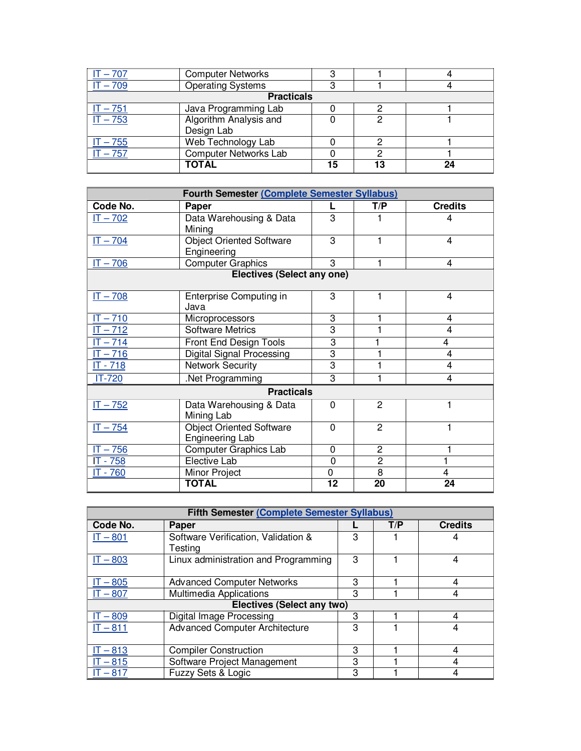| $-707$                | <b>Computer Networks</b>     | ◠  |    |    |  |  |
|-----------------------|------------------------------|----|----|----|--|--|
| $\overline{11} - 709$ | <b>Operating Systems</b>     |    |    |    |  |  |
| <b>Practicals</b>     |                              |    |    |    |  |  |
| $IT - 751$            | Java Programming Lab         |    |    |    |  |  |
| $IT - 753$            | Algorithm Analysis and       |    |    |    |  |  |
|                       | Design Lab                   |    |    |    |  |  |
| $T - 755$             | Web Technology Lab           |    |    |    |  |  |
| $IT - 757$            | <b>Computer Networks Lab</b> |    |    |    |  |  |
|                       | <b>TOTAL</b>                 | 15 | 13 | 24 |  |  |

| Fourth Semester (Complete Semester Syllabus) |                                                    |             |                |                |  |
|----------------------------------------------|----------------------------------------------------|-------------|----------------|----------------|--|
| Code No.                                     | Paper                                              |             | T/P            | <b>Credits</b> |  |
| $IT - 702$                                   | Data Warehousing & Data<br>Mining                  | 3           |                | 4              |  |
| $IT - 704$                                   | <b>Object Oriented Software</b><br>Engineering     | 3           |                | $\overline{4}$ |  |
| $IT - 706$                                   | <b>Computer Graphics</b>                           | 3           |                | 4              |  |
|                                              | <b>Electives (Select any one)</b>                  |             |                |                |  |
| $IT - 708$                                   | Enterprise Computing in<br>Java                    | 3           | 1              | 4              |  |
| $IT - 710$                                   | Microprocessors                                    | 3           | 1              | 4              |  |
| $IT - 712$                                   | <b>Software Metrics</b>                            | 3           |                | $\overline{4}$ |  |
| $IT - 714$                                   | Front End Design Tools                             | 3           | 1              | $\overline{4}$ |  |
| $IT - 716$                                   | <b>Digital Signal Processing</b>                   | 3           |                | $\overline{4}$ |  |
| $IT - 718$                                   | <b>Network Security</b>                            | 3           |                | 4              |  |
| IT-720                                       | Net Programming                                    | 3           |                | 4              |  |
|                                              | <b>Practicals</b>                                  |             |                |                |  |
| $IT - 752$                                   | Data Warehousing & Data<br>Mining Lab              | $\Omega$    | $\overline{2}$ | 1              |  |
| $IT - 754$                                   | <b>Object Oriented Software</b><br>Engineering Lab | $\Omega$    | $\overline{2}$ |                |  |
| $\overline{IT}$ – 756                        | <b>Computer Graphics Lab</b>                       | $\Omega$    | 2              |                |  |
| IT - 758                                     | Elective Lab                                       | $\mathbf 0$ | $\overline{2}$ | 1              |  |
| IT - 760                                     | Minor Project                                      | $\mathbf 0$ | 8              | 4              |  |
|                                              | <b>TOTAL</b>                                       | 12          | 20             | 24             |  |

| Fifth Semester (Complete Semester Syllabus) |                                                |   |     |                |  |
|---------------------------------------------|------------------------------------------------|---|-----|----------------|--|
| Code No.                                    | Paper                                          |   | T/P | <b>Credits</b> |  |
| IT – 801                                    | Software Verification, Validation &<br>Testing | 3 |     | 4              |  |
| $IT - 803$                                  | Linux administration and Programming           | 3 |     | 4              |  |
| $-805$                                      | <b>Advanced Computer Networks</b>              | 3 |     | 4              |  |
| $T - 807$                                   | Multimedia Applications                        | 3 |     | 4              |  |
|                                             | <b>Electives (Select any two)</b>              |   |     |                |  |
| $-809$                                      | Digital Image Processing                       | 3 |     | 4              |  |
| IT-811                                      | <b>Advanced Computer Architecture</b>          | 3 |     | 4              |  |
| IT – 813                                    | <b>Compiler Construction</b>                   | 3 |     | 4              |  |
| $T - 815$                                   | Software Project Management                    | 3 |     | 4              |  |
| $-817$                                      | Fuzzy Sets & Logic                             | 3 |     | 4              |  |